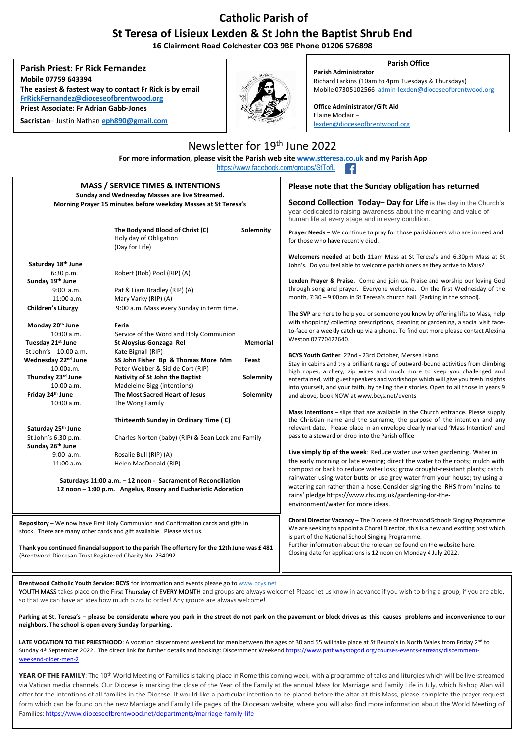## **Catholic Parish of St Teresa of Lisieux Lexden & St John the Baptist Shrub End**

**16 Clairmont Road Colchester CO3 9BE Phone 01206 576898**

**Parish Priest: Fr Rick Fernandez Mobile 07759 643394 The easiest & fastest way to contact Fr Rick is by email [FrRickFernandez@dioceseofbrentwood.org](about:blank) Priest Associate: Fr Adrian Gabb-Jones**

**Sacristan**– Justin Nathan **eph890@gmail.com**



Newsletter for 19<sup>th</sup> June 2022 **For more information, please visit the Parish web site [www.stteresa.co.uk](about:blank) and my Parish App**

## **Parish Office**

**Parish Administrator** Richard Larkins (10am to 4pm Tuesdays & Thursdays) Mobile 07305102566 [admin-lexden@dioceseofbrentwood.org](about:blank)

**Office Administrator/Gift Aid**  Elaine Moclair – [lexden@dioceseofbrentwood.org](about:blank)

## [https://www.facebook.com/groups/StTofL](about:blank) **MASS / SERVICE TIMES & INTENTIONS Sunday and Wednesday Masses are live Streamed. Morning Prayer 15 minutes before weekday Masses at St Teresa's** The Body and Blood of Christ (C) Solemnity Holy day of Obligation (Day for Life) **Saturday 18th June** 6:30 p.m. Robert (Bob) Pool (RIP) (A) **Sunday 19 th June** 9:00 a.m. Pat & Liam Bradley (RIP) (A) 11:00 a.m. Mary Varky (RIP) (A) **Children's Liturgy** 9:00 a.m. Mass every Sunday in term time. **Monday 20<sup>th</sup> June<br>10:00 a.m. Servi** 10:00 a.m. Service of the Word and Holy Communion<br>
Tuesday 21<sup>st</sup> June St Alovsius Gonzaga Rel  **Tuesday 21st June St Aloysius Gonzaga Rel Memorial** St John's **10:00 a.m.** Kate Bignall (RIP)<br>
Wednesday 22<sup>nd</sup> June **SS John Fisher B Wednesday 22nd June SS John Fisher Bp & Thomas More Mm Feast** 10:00a.m. Peter Webber & Sid de Cort (RIP)<br>Thursday 23<sup>rd</sup> June **Nativity of St John the Baptist Nativity of St John the Baptist <b>23** Solemnity 10:00 a.m. Madeleine Bigg (intentions)<br>**11. Friday 24th June** The Most Sacred Heart of J **Friday 24th June The Most Sacred Heart of Jesus Solemnity** 10:00 a.m. The Wong Family **Thirteenth Sunday in Ordinary Time ( C) Saturday 25th June**  Charles Norton (baby) (RIP) & Sean Lock and Family **Sunday 26th June** 9:00 a.m. Rosalie Bull (RIP) (A) 11:00 a.m. Helen MacDonald (RIP) **Saturdays 11:00 a.m. – 12 noon - Sacrament of Reconciliation 12 noon – 1:00 p.m. Angelus, Rosary and Eucharistic Adoration Please note that the Sunday obligation has returned Second Collection Today– Day for Life** is the day in the Church's year dedicated to raising awareness about the meaning and value of human life at every stage and in every condition. **Prayer Needs** – We continue to pray for those parishioners who are in need and for those who have recently died. **Welcomers needed** at both 11am Mass at St Teresa's and 6.30pm Mass at St John's. Do you feel able to welcome parishioners as they arrive to Mass? **Lexden Prayer & Praise**. Come and join us. Praise and worship our loving God through song and prayer. Everyone welcome. On the first Wednesday of the month, 7:30 – 9:00pm in St Teresa's church hall. (Parking in the school). **The SVP** are here to help you or someone you know by offering lifts to Mass, help with shopping/ collecting prescriptions, cleaning or gardening, a social visit faceto-face or a weekly catch up via a phone. To find out more please contact Alexina Weston 07770422640. **BCYS Youth Gather** 22nd - 23rd October, Mersea Island Stay in cabins and try a brilliant range of outward-bound activities from climbing high ropes, archery, zip wires and much more to keep you challenged and entertained, with guest speakers and workshops which will give you fresh insights into yourself, and your faith, by telling their stories. Open to all those in years 9 and above, book NOW a[t www.bcys.net/events](about:blank) **Mass Intentions** – slips that are available in the Church entrance. Please supply the Christian name and the surname, the purpose of the intention and any relevant date. Please place in an envelope clearly marked 'Mass Intention' and pass to a steward or drop into the Parish office **Live simply tip of the week**: Reduce water use when gardening. Water in the early morning or late evening; direct the water to the roots; mulch with compost or bark to reduce water loss; grow drought-resistant plants; catch rainwater using water butts or use grey water from your house; try using a watering can rather than a hose. Consider signing the RHS from 'mains to rains' pledge [https://www.rhs.org.uk/gardening-for-the](about:blank)[environment/water](about:blank) for more ideas. **Choral Director Vacancy** – The Diocese of Brentwood Schools Singing Programme We are seeking to appoint a Choral Director, this is a new and exciting post which is part of the National School Singing Programme. Further information about the role can be found on the websit[e here.](about:blank)  Closing date for applications is 12 noon on Monday 4 July 2022. **Repository** – We now have First Holy Communion and Confirmation cards and gifts in stock. There are many other cards and gift available. Please visit us. **Thank you continued financial support to the parish The offertory for the 12th June was £ 481**  (Brentwood Diocesan Trust Registered Charity No. 234092

**Brentwood Catholic Youth Service: BCYS** for information and events please go to [www.bcys.net](about:blank)

YOUTH MASS takes place on the First Thursday of EVERY MONTH and groups are always welcome! Please let us know in advance if you wish to bring a group, if you are able, so that we can have an idea how much pizza to order! Any groups are always welcome!

**Parking at St. Teresa's – please be considerate where you park in the street do not park on the pavement or block drives as this causes problems and inconvenience to our neighbors. The school is open every Sunday for parking.**

LATE VOCATION TO THE PRIESTHOOD: A vocation discernment weekend for men between the ages of 30 and 55 will take place at St Beuno's in North Wales from Friday 2<sup>nd</sup> to Sunday 4<sup>th</sup> September 2022. The direct link for further details and booking: Discernment Weeken[d https://www.pathwaystogod.org/courses-events-retreats/discernment](about:blank)[weekend-older-men-2](about:blank)

**YEAR OF THE FAMILY:** The 10<sup>th</sup> World Meeting of Families is taking place in Rome this coming week, with a programme of talks and liturgies which will be live-streamed via Vatican media channels. Our Diocese is marking the close of the Year of the Family at the annual Mass for Marriage and Family Life in July, which Bishop Alan will offer for the intentions of all families in the Diocese. If would like a particular intention to be placed before the altar at this Mass, please complete the prayer request form which can be found on the new Marriage and Family Life pages of the Diocesan website, where you will also find more information about the World Meeting of Families: [https://www.dioceseofbrentwood.net/departments/marriage-family-life](about:blank)